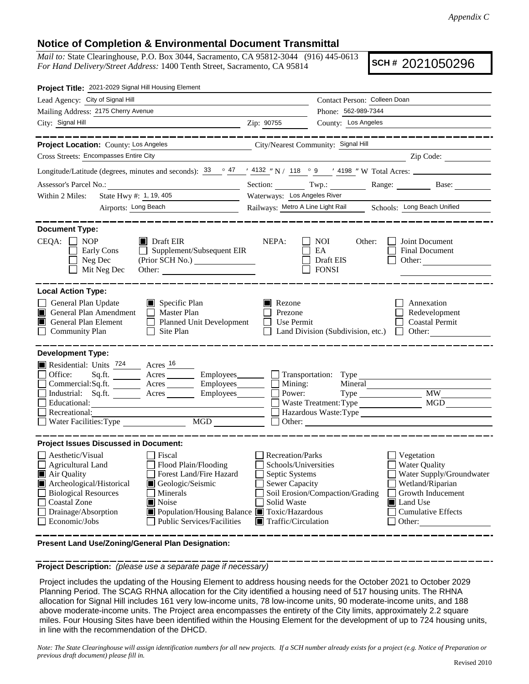## **Notice of Completion & Environmental Document Transmittal**

*Mail to:* State Clearinghouse, P.O. Box 3044, Sacramento, CA 95812-3044 (916) 445-0613 *For Hand Delivery/Street Address:* 1400 Tenth Street, Sacramento, CA 95814

**SCH #** 2021050296

| Project Title: 2021-2029 Signal Hill Housing Element                                                                                                                                                                                                                                                                                                                                           |                                                                                                                                                                                                                                                                                                                                                                                                                                                                                 |
|------------------------------------------------------------------------------------------------------------------------------------------------------------------------------------------------------------------------------------------------------------------------------------------------------------------------------------------------------------------------------------------------|---------------------------------------------------------------------------------------------------------------------------------------------------------------------------------------------------------------------------------------------------------------------------------------------------------------------------------------------------------------------------------------------------------------------------------------------------------------------------------|
| Lead Agency: City of Signal Hill                                                                                                                                                                                                                                                                                                                                                               | Contact Person: Colleen Doan                                                                                                                                                                                                                                                                                                                                                                                                                                                    |
| Mailing Address: 2175 Cherry Avenue                                                                                                                                                                                                                                                                                                                                                            | Phone: 562-989-7344                                                                                                                                                                                                                                                                                                                                                                                                                                                             |
| City: Signal Hill<br><u> 1989 - Johann Stoff, amerikansk politiker (* 1908)</u>                                                                                                                                                                                                                                                                                                                | County: Los Angeles<br>Zip: 90755                                                                                                                                                                                                                                                                                                                                                                                                                                               |
| _________                                                                                                                                                                                                                                                                                                                                                                                      | _____________                                                                                                                                                                                                                                                                                                                                                                                                                                                                   |
| Project Location: County: Los Angeles                                                                                                                                                                                                                                                                                                                                                          | City/Nearest Community: Signal Hill                                                                                                                                                                                                                                                                                                                                                                                                                                             |
| Cross Streets: Encompasses Entire City                                                                                                                                                                                                                                                                                                                                                         | $\overline{\phantom{a}}$ $\overline{\phantom{a}}$ $\overline{\phantom{a}}$ $\overline{\phantom{a}}$ $\overline{\phantom{a}}$ $\overline{\phantom{a}}$ $\overline{\phantom{a}}$ $\overline{\phantom{a}}$ $\overline{\phantom{a}}$ $\overline{\phantom{a}}$ $\overline{\phantom{a}}$ $\overline{\phantom{a}}$ $\overline{\phantom{a}}$ $\overline{\phantom{a}}$ $\overline{\phantom{a}}$ $\overline{\phantom{a}}$ $\overline{\phantom{a}}$ $\overline{\phantom{a}}$ $\overline{\$ |
|                                                                                                                                                                                                                                                                                                                                                                                                | Longitude/Latitude (degrees, minutes and seconds): $\frac{33}{2}$ $\frac{47}{1}$ $\frac{4132}{18}$ N / $\frac{118}{2}$ $\frac{9}{2}$ $\frac{4198}{18}$ W Total Acres:                                                                                                                                                                                                                                                                                                           |
|                                                                                                                                                                                                                                                                                                                                                                                                | Section: Twp.: Twp.: Range: Base: Base:                                                                                                                                                                                                                                                                                                                                                                                                                                         |
| State Hwy #: 1, 19, 405<br>Within 2 Miles:                                                                                                                                                                                                                                                                                                                                                     | Waterways: Los Angeles River                                                                                                                                                                                                                                                                                                                                                                                                                                                    |
| Airports: Long Beach                                                                                                                                                                                                                                                                                                                                                                           | Railways: Metro A Line Light Rail Schools: Long Beach Unified                                                                                                                                                                                                                                                                                                                                                                                                                   |
| <b>Document Type:</b><br>$CEQA: \Box NOP$<br>$\blacksquare$ Draft EIR<br>$\Box$ Supplement/Subsequent EIR<br>Early Cons<br>Neg Dec<br>(Prior SCH No.)<br>Mit Neg Dec                                                                                                                                                                                                                           | NEPA:<br>Joint Document<br>NOI<br>Other:<br>EA<br>Final Document<br>Draft EIS<br>Other: $\qquad \qquad$<br>$\Box$ FONSI                                                                                                                                                                                                                                                                                                                                                         |
| <b>Local Action Type:</b>                                                                                                                                                                                                                                                                                                                                                                      |                                                                                                                                                                                                                                                                                                                                                                                                                                                                                 |
| General Plan Update<br>$\Box$ Specific Plan<br>General Plan Amendment<br>$\Box$ Master Plan<br>General Plan Element<br>Planned Unit Development<br><b>Community Plan</b><br>$\Box$ Site Plan                                                                                                                                                                                                   | <b>Nezone</b><br>Annexation<br>Redevelopment<br>Prezone<br>Use Permit<br><b>Coastal Permit</b><br>$\perp$<br>Land Division (Subdivision, etc.)<br>$\Box$ Other:                                                                                                                                                                                                                                                                                                                 |
| <b>Development Type:</b><br>Residential: Units <sup>724</sup> Acres <sup>16</sup><br>Office:<br>Commercial:Sq.ft. _________ Acres __________ Employees________<br>Industrial: Sq.ft. _______ Acres _______ Employees_______<br>Educational:<br>Recreational:<br>Water Facilities: Type MGD                                                                                                     | Sq.ft. ________ Acres _________ Employees _______ __ Transportation: Type _________________________<br>Mining:<br>Mineral<br><b>MW</b><br>Power:<br>MGD<br>Waste Treatment: Type<br>Hazardous Waste: Type                                                                                                                                                                                                                                                                       |
| <b>Project Issues Discussed in Document:</b>                                                                                                                                                                                                                                                                                                                                                   |                                                                                                                                                                                                                                                                                                                                                                                                                                                                                 |
| Aesthetic/Visual<br>Fiscal<br>$\Box$ Agricultural Land<br>$\Box$ Flood Plain/Flooding<br>Forest Land/Fire Hazard<br>Air Quality<br>Archeological/Historical<br>Geologic/Seismic<br><b>Biological Resources</b><br>Minerals<br>Noise<br><b>Coastal Zone</b><br>Drainage/Absorption<br>Population/Housing Balance <b>T</b> Toxic/Hazardous<br>Economic/Jobs<br><b>Public Services/Facilities</b> | Recreation/Parks<br>Vegetation<br>Schools/Universities<br><b>Water Quality</b><br>Water Supply/Groundwater<br>Septic Systems<br>Sewer Capacity<br>Wetland/Riparian<br>Soil Erosion/Compaction/Grading<br>Growth Inducement<br>Solid Waste<br>Land Use<br><b>Cumulative Effects</b><br>$\blacksquare$ Traffic/Circulation<br>Other:                                                                                                                                              |

**Present Land Use/Zoning/General Plan Designation:**

**Project Description:** *(please use a separate page if necessary)*

 Project includes the updating of the Housing Element to address housing needs for the October 2021 to October 2029 Planning Period. The SCAG RHNA allocation for the City identified a housing need of 517 housing units. The RHNA allocation for Signal Hill includes 161 very low-income units, 78 low-income units, 90 moderate-income units, and 188 above moderate-income units. The Project area encompasses the entirety of the City limits, approximately 2.2 square miles. Four Housing Sites have been identified within the Housing Element for the development of up to 724 housing units, in line with the recommendation of the DHCD.

*Note: The State Clearinghouse will assign identification numbers for all new projects. If a SCH number already exists for a project (e.g. Notice of Preparation or previous draft document) please fill in.*